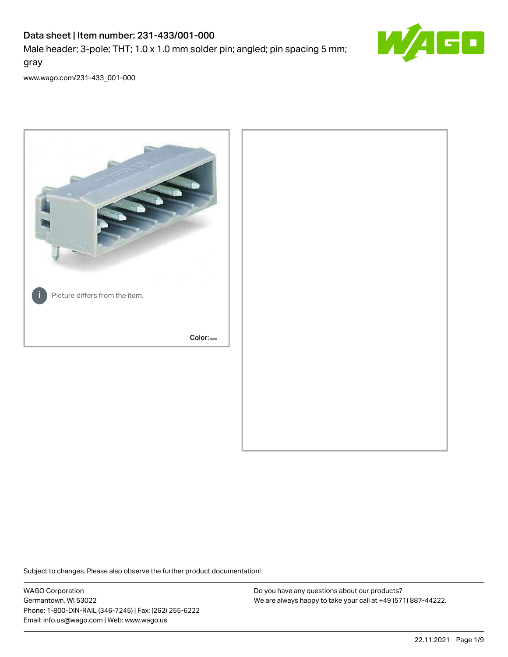# Data sheet | Item number: 231-433/001-000

Male header; 3-pole; THT; 1.0 x 1.0 mm solder pin; angled; pin spacing 5 mm; gray



[www.wago.com/231-433\\_001-000](http://www.wago.com/231-433_001-000)



Subject to changes. Please also observe the further product documentation!

WAGO Corporation Germantown, WI 53022 Phone: 1-800-DIN-RAIL (346-7245) | Fax: (262) 255-6222 Email: info.us@wago.com | Web: www.wago.us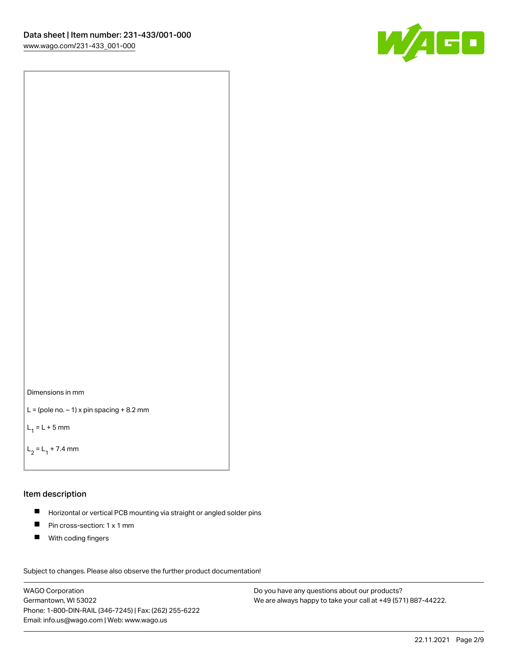



```
L = (pole no. -1) x pin spacing +8.2 mm
```
 $L_1 = L + 5$  mm

```
L_2 = L_1 + 7.4 mm
```
#### Item description

- Horizontal or vertical PCB mounting via straight or angled solder pins  $\blacksquare$
- $\blacksquare$ Pin cross-section: 1 x 1 mm
- $\blacksquare$ With coding fingers

Subject to changes. Please also observe the further product documentation! Data

WAGO Corporation Germantown, WI 53022 Phone: 1-800-DIN-RAIL (346-7245) | Fax: (262) 255-6222 Email: info.us@wago.com | Web: www.wago.us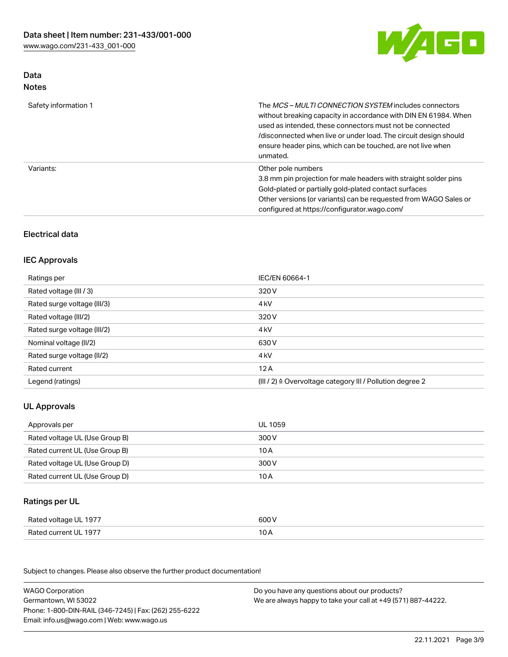

### Data Notes

| Safety information 1 | The <i>MCS – MULTI CONNECTION SYSTEM</i> includes connectors<br>without breaking capacity in accordance with DIN EN 61984. When<br>used as intended, these connectors must not be connected<br>/disconnected when live or under load. The circuit design should<br>ensure header pins, which can be touched, are not live when<br>unmated. |
|----------------------|--------------------------------------------------------------------------------------------------------------------------------------------------------------------------------------------------------------------------------------------------------------------------------------------------------------------------------------------|
| Variants:            | Other pole numbers<br>3.8 mm pin projection for male headers with straight solder pins<br>Gold-plated or partially gold-plated contact surfaces<br>Other versions (or variants) can be requested from WAGO Sales or<br>configured at https://configurator.wago.com/                                                                        |

## Electrical data

### IEC Approvals

| Ratings per                 | IEC/EN 60664-1                                                        |
|-----------------------------|-----------------------------------------------------------------------|
| Rated voltage (III / 3)     | 320 V                                                                 |
| Rated surge voltage (III/3) | 4 <sub>k</sub> V                                                      |
| Rated voltage (III/2)       | 320 V                                                                 |
| Rated surge voltage (III/2) | 4 <sub>kV</sub>                                                       |
| Nominal voltage (II/2)      | 630 V                                                                 |
| Rated surge voltage (II/2)  | 4 <sub>k</sub> V                                                      |
| Rated current               | 12A                                                                   |
| Legend (ratings)            | $(III / 2)$ $\triangle$ Overvoltage category III / Pollution degree 2 |

## UL Approvals

| Approvals per                  | UL 1059 |
|--------------------------------|---------|
| Rated voltage UL (Use Group B) | 300 V   |
| Rated current UL (Use Group B) | 10 A    |
| Rated voltage UL (Use Group D) | 300 V   |
| Rated current UL (Use Group D) | 10 A    |

### Ratings per UL

| Rated voltage UL 1977 | 600 V |
|-----------------------|-------|
| Rated current UL 1977 | 10 A  |

Subject to changes. Please also observe the further product documentation!

| <b>WAGO Corporation</b>                                | Do you have any questions about our products?                 |
|--------------------------------------------------------|---------------------------------------------------------------|
| Germantown, WI 53022                                   | We are always happy to take your call at +49 (571) 887-44222. |
| Phone: 1-800-DIN-RAIL (346-7245)   Fax: (262) 255-6222 |                                                               |
| Email: info.us@wago.com   Web: www.wago.us             |                                                               |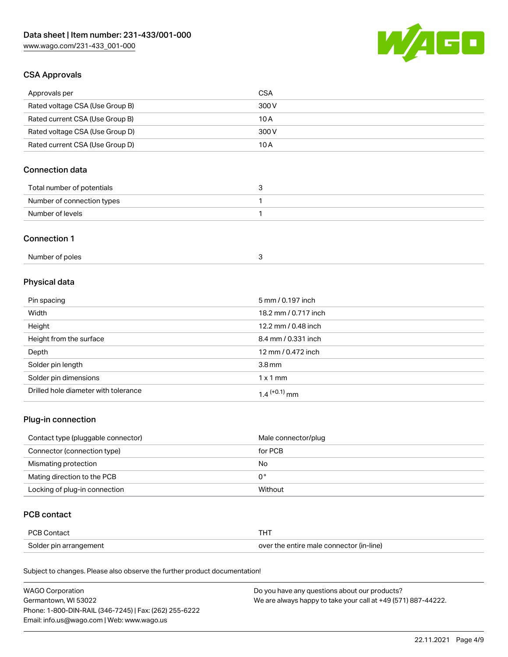

### CSA Approvals

| Approvals per                   | CSA   |
|---------------------------------|-------|
| Rated voltage CSA (Use Group B) | 300 V |
| Rated current CSA (Use Group B) | 10 A  |
| Rated voltage CSA (Use Group D) | 300 V |
| Rated current CSA (Use Group D) | 10 A  |

## Connection data

| Total number of potentials |  |
|----------------------------|--|
| Number of connection types |  |
| Number of levels           |  |

#### Connection 1

| Number of poles |  |
|-----------------|--|
|-----------------|--|

## Physical data

| Pin spacing                          | 5 mm / 0.197 inch    |
|--------------------------------------|----------------------|
| Width                                | 18.2 mm / 0.717 inch |
| Height                               | 12.2 mm / 0.48 inch  |
| Height from the surface              | 8.4 mm / 0.331 inch  |
| Depth                                | 12 mm / 0.472 inch   |
| Solder pin length                    | 3.8 <sub>mm</sub>    |
| Solder pin dimensions                | $1 \times 1$ mm      |
| Drilled hole diameter with tolerance | $1.4$ $(+0.1)$ mm    |

## Plug-in connection

| Contact type (pluggable connector) | Male connector/plug |
|------------------------------------|---------------------|
| Connector (connection type)        | for PCB             |
| Mismating protection               | No                  |
| Mating direction to the PCB        | 0°                  |
| Locking of plug-in connection      | Without             |

### PCB contact

| PCB Contact            | тнт                                      |
|------------------------|------------------------------------------|
| Solder pin arrangement | over the entire male connector (in-line) |

Subject to changes. Please also observe the further product documentation!

| <b>WAGO Corporation</b>                                | Do you have any questions about our products?                 |
|--------------------------------------------------------|---------------------------------------------------------------|
| Germantown, WI 53022                                   | We are always happy to take your call at +49 (571) 887-44222. |
| Phone: 1-800-DIN-RAIL (346-7245)   Fax: (262) 255-6222 |                                                               |
| Email: info.us@wago.com   Web: www.wago.us             |                                                               |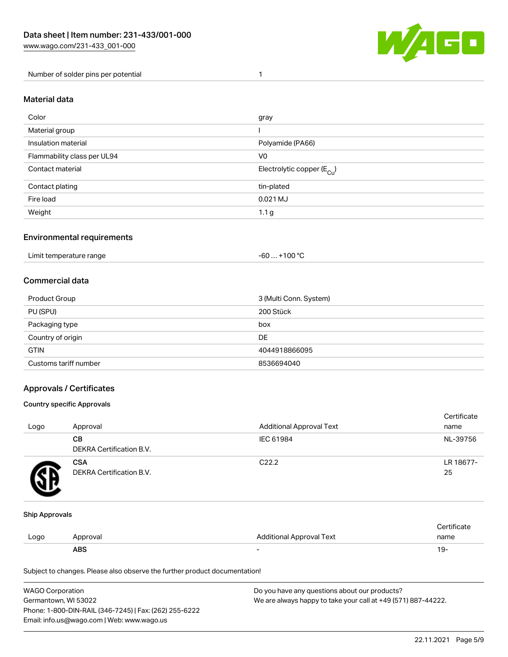

Number of solder pins per potential 1

#### Material data

| Color                       | gray                                    |
|-----------------------------|-----------------------------------------|
| Material group              |                                         |
| Insulation material         | Polyamide (PA66)                        |
| Flammability class per UL94 | V <sub>0</sub>                          |
| Contact material            | Electrolytic copper ( $E_{\text{Cu}}$ ) |
| Contact plating             | tin-plated                              |
| Fire load                   | 0.021 MJ                                |
| Weight                      | 1.1 <sub>g</sub>                        |

### Environmental requirements

Limit temperature range  $-60... +100$  °C

#### Commercial data

| Product Group         | 3 (Multi Conn. System) |
|-----------------------|------------------------|
| PU (SPU)              | 200 Stück              |
| Packaging type        | box                    |
| Country of origin     | DE                     |
| <b>GTIN</b>           | 4044918866095          |
| Customs tariff number | 8536694040             |

### Approvals / Certificates

#### Country specific Approvals

| Logo | Approval                               | <b>Additional Approval Text</b> | Certificate<br>name |
|------|----------------------------------------|---------------------------------|---------------------|
|      | CВ<br><b>DEKRA Certification B.V.</b>  | IEC 61984                       | NL-39756            |
|      | <b>CSA</b><br>DEKRA Certification B.V. | C <sub>22.2</sub>               | LR 18677-<br>25     |

#### Ship Approvals

|      | ABS     |                          | 19-  |
|------|---------|--------------------------|------|
| LOGO | วproval | Additional Approval Text | name |
|      |         |                          |      |

Subject to changes. Please also observe the further product documentation!

| <b>WAGO Corporation</b>                                | Do you have any questions about our products?                 |
|--------------------------------------------------------|---------------------------------------------------------------|
| Germantown. WI 53022                                   | We are always happy to take your call at +49 (571) 887-44222. |
| Phone: 1-800-DIN-RAIL (346-7245)   Fax: (262) 255-6222 |                                                               |
| Email: info.us@wago.com   Web: www.wago.us             |                                                               |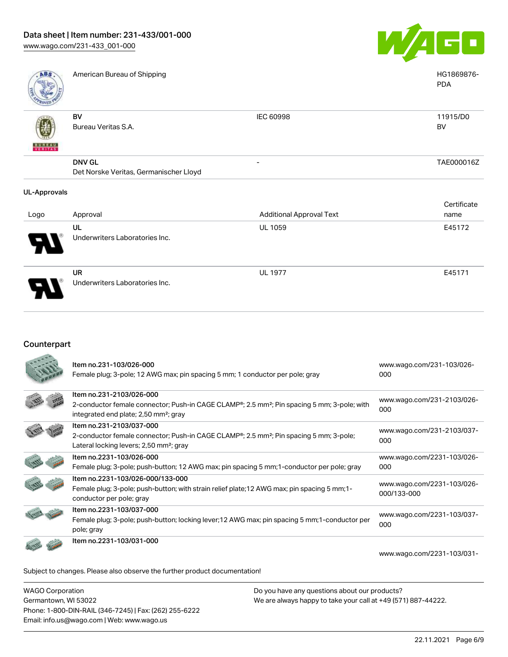

PDA

American Bureau of Shipping National American Bureau of Shipping National American Bureau of Shipping National American Bureau of Shipping National American Bureau of Shipping National American Bureau of Shipping National

| <b>PERMIT PRO</b>                        |                                                         |                          |                |
|------------------------------------------|---------------------------------------------------------|--------------------------|----------------|
| $\mathbf{u}$<br><b>BUREAU</b><br>VERITAS | BV<br>Bureau Veritas S.A.                               | IEC 60998                | 11915/D0<br>BV |
|                                          | <b>DNV GL</b><br>Det Norske Veritas, Germanischer Lloyd | $\overline{\phantom{0}}$ | TAE000016Z     |
|                                          |                                                         |                          |                |

#### UL-Approvals

| Logo | Approval                                    | <b>Additional Approval Text</b> | Certificate<br>name |
|------|---------------------------------------------|---------------------------------|---------------------|
| 8    | UL<br>Underwriters Laboratories Inc.        | <b>UL 1059</b>                  | E45172              |
| O    | <b>UR</b><br>Underwriters Laboratories Inc. | <b>UL 1977</b>                  | E45171              |

### Counterpart

| Item no.231-103/026-000<br>Female plug; 3-pole; 12 AWG max; pin spacing 5 mm; 1 conductor per pole; gray                                                                                              | www.wago.com/231-103/026-<br>000          |
|-------------------------------------------------------------------------------------------------------------------------------------------------------------------------------------------------------|-------------------------------------------|
| Item no.231-2103/026-000<br>2-conductor female connector; Push-in CAGE CLAMP <sup>®</sup> ; 2.5 mm <sup>2</sup> ; Pin spacing 5 mm; 3-pole; with<br>integrated end plate; 2,50 mm <sup>2</sup> ; gray | www.wago.com/231-2103/026-<br>000         |
| Item no.231-2103/037-000<br>2-conductor female connector; Push-in CAGE CLAMP <sup>®</sup> ; 2.5 mm <sup>2</sup> ; Pin spacing 5 mm; 3-pole;<br>Lateral locking levers; 2,50 mm <sup>2</sup> ; gray    | www.wago.com/231-2103/037-<br>000         |
| Item no.2231-103/026-000<br>Female plug; 3-pole; push-button; 12 AWG max; pin spacing 5 mm; 1-conductor per pole; gray                                                                                | www.wago.com/2231-103/026-<br>000         |
| Item no.2231-103/026-000/133-000<br>Female plug; 3-pole; push-button; with strain relief plate; 12 AWG max; pin spacing 5 mm; 1-<br>conductor per pole; gray                                          | www.wago.com/2231-103/026-<br>000/133-000 |
| Item no.2231-103/037-000<br>Female plug; 3-pole; push-button; locking lever; 12 AWG max; pin spacing 5 mm; 1-conductor per<br>pole; gray                                                              | www.wago.com/2231-103/037-<br>000         |
| Item no.2231-103/031-000                                                                                                                                                                              | www.wago.com/2231-103/031-                |

Subject to changes. Please also observe the further product documentation!

WAGO Corporation Germantown, WI 53022 Phone: 1-800-DIN-RAIL (346-7245) | Fax: (262) 255-6222 Email: info.us@wago.com | Web: www.wago.us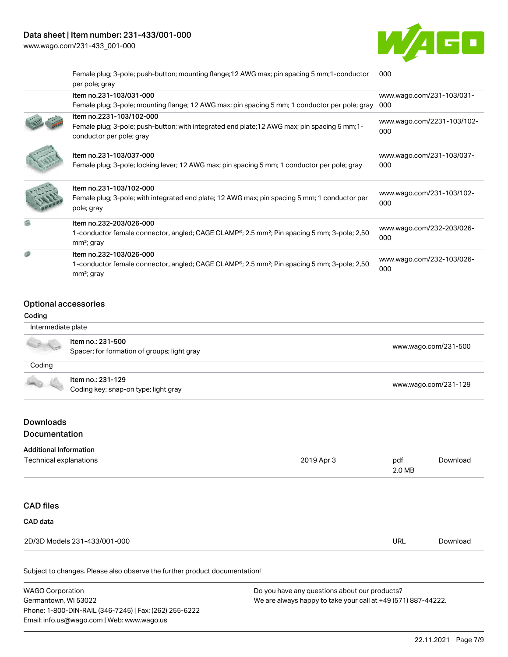[www.wago.com/231-433\\_001-000](http://www.wago.com/231-433_001-000)



Female plug; 3-pole; push-button; mounting flange;12 AWG max; pin spacing 5 mm;1-conductor [000](https://www.wago.com/2231-103/031-000)

| per pole; gray                                                                                                                                                  |                                   |
|-----------------------------------------------------------------------------------------------------------------------------------------------------------------|-----------------------------------|
| Item no.231-103/031-000                                                                                                                                         | www.wago.com/231-103/031-         |
| Female plug; 3-pole; mounting flange; 12 AWG max; pin spacing 5 mm; 1 conductor per pole; gray                                                                  | 000                               |
| Item no.2231-103/102-000<br>Female plug; 3-pole; push-button; with integrated end plate; 12 AWG max; pin spacing 5 mm; 1-<br>conductor per pole; gray           | www.wago.com/2231-103/102-<br>000 |
| Item no.231-103/037-000<br>Female plug; 3-pole; locking lever; 12 AWG max; pin spacing 5 mm; 1 conductor per pole; gray                                         | www.wago.com/231-103/037-<br>000  |
| Item no.231-103/102-000<br>Female plug; 3-pole; with integrated end plate; 12 AWG max; pin spacing 5 mm; 1 conductor per<br>pole; gray                          | www.wago.com/231-103/102-<br>000  |
| Item no.232-203/026-000<br>1-conductor female connector, angled; CAGE CLAMP <sup>®</sup> ; 2.5 mm <sup>2</sup> ; Pin spacing 5 mm; 3-pole; 2,50<br>$mm2$ ; gray | www.wago.com/232-203/026-<br>000  |
| Item no.232-103/026-000<br>1-conductor female connector, angled; CAGE CLAMP <sup>®</sup> ; 2.5 mm <sup>2</sup> ; Pin spacing 5 mm; 3-pole; 2,50<br>$mm2$ ; gray | www.wago.com/232-103/026-<br>000  |
|                                                                                                                                                                 |                                   |

### Optional accessories

| Coding                            |                                             |            |     |                      |
|-----------------------------------|---------------------------------------------|------------|-----|----------------------|
| Intermediate plate                |                                             |            |     |                      |
|                                   | Item no.: 231-500                           |            |     | www.wago.com/231-500 |
|                                   | Spacer; for formation of groups; light gray |            |     |                      |
| Coding                            |                                             |            |     |                      |
|                                   | Item no.: 231-129                           |            |     |                      |
|                                   | Coding key; snap-on type; light gray        |            |     | www.wago.com/231-129 |
| <b>Downloads</b><br>Documentation |                                             |            |     |                      |
| <b>Additional Information</b>     |                                             |            |     |                      |
| Technical explanations            |                                             | 2019 Apr 3 | pdf | Download             |

| URL | Download |
|-----|----------|
|     |          |

Subject to changes. Please also observe the further product documentation!

WAGO Corporation Germantown, WI 53022 Phone: 1-800-DIN-RAIL (346-7245) | Fax: (262) 255-6222 Email: info.us@wago.com | Web: www.wago.us Do you have any questions about our products? We are always happy to take your call at +49 (571) 887-44222.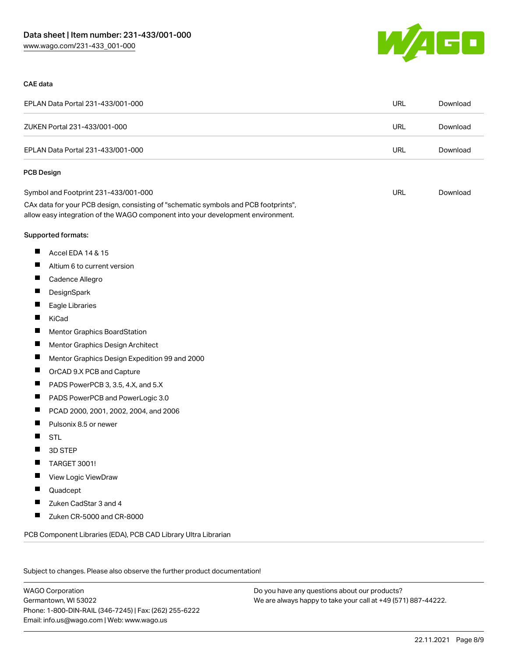

#### CAE data

| EPLAN Data Portal 231-433/001-000                                                                                                                                      | <b>URL</b> | Download |
|------------------------------------------------------------------------------------------------------------------------------------------------------------------------|------------|----------|
| ZUKEN Portal 231-433/001-000                                                                                                                                           | <b>URL</b> | Download |
| EPLAN Data Portal 231-433/001-000                                                                                                                                      | <b>URL</b> | Download |
| <b>PCB Design</b>                                                                                                                                                      |            |          |
| Symbol and Footprint 231-433/001-000                                                                                                                                   | URL        | Download |
| CAx data for your PCB design, consisting of "schematic symbols and PCB footprints",<br>allow easy integration of the WAGO component into your development environment. |            |          |
| Supported formats:                                                                                                                                                     |            |          |
| ш<br>Accel EDA 14 & 15                                                                                                                                                 |            |          |
| ш<br>Altium 6 to current version                                                                                                                                       |            |          |
| H<br>Cadence Allegro                                                                                                                                                   |            |          |
| ш<br>DesignSpark                                                                                                                                                       |            |          |
| ш<br>Eagle Libraries                                                                                                                                                   |            |          |
| Ш<br>KiCad                                                                                                                                                             |            |          |
| ш<br>Mentor Graphics BoardStation                                                                                                                                      |            |          |
| Ш<br>Mentor Graphics Design Architect                                                                                                                                  |            |          |
| Ш<br>Mentor Graphics Design Expedition 99 and 2000                                                                                                                     |            |          |
| ш<br>OrCAD 9.X PCB and Capture                                                                                                                                         |            |          |
| ш<br>PADS PowerPCB 3, 3.5, 4.X, and 5.X                                                                                                                                |            |          |
| ш<br>PADS PowerPCB and PowerLogic 3.0                                                                                                                                  |            |          |
| ш<br>PCAD 2000, 2001, 2002, 2004, and 2006                                                                                                                             |            |          |
| ш<br>Pulsonix 8.5 or newer                                                                                                                                             |            |          |
| H.<br><b>STL</b>                                                                                                                                                       |            |          |
| H<br>3D STEP                                                                                                                                                           |            |          |
| <b>TARGET 3001!</b>                                                                                                                                                    |            |          |
| ш<br>View Logic ViewDraw                                                                                                                                               |            |          |
| Quadcept<br>ш                                                                                                                                                          |            |          |
| Zuken CadStar 3 and 4                                                                                                                                                  |            |          |
| ш<br>Zuken CR-5000 and CR-8000                                                                                                                                         |            |          |
| PCB Component Libraries (EDA), PCB CAD Library Ultra Librarian                                                                                                         |            |          |

Subject to changes. Please also observe the further product documentation!

WAGO Corporation Germantown, WI 53022 Phone: 1-800-DIN-RAIL (346-7245) | Fax: (262) 255-6222 Email: info.us@wago.com | Web: www.wago.us